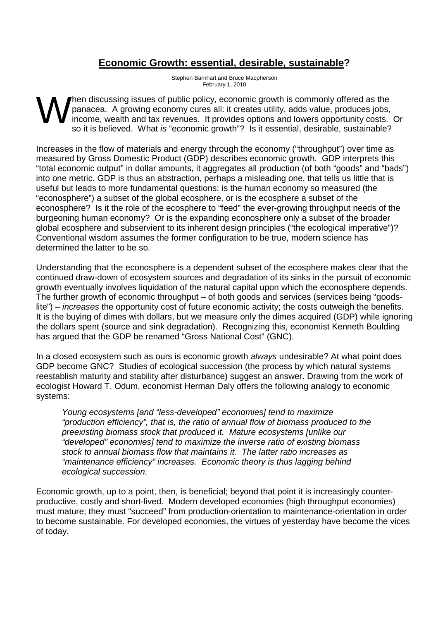## **Economic Growth: essential, desirable, sustainable?**

Stephen Barnhart and Bruce Macpherson February 1, 2010

hen discussing issues of public policy, economic growth is commonly offered as the panacea. A growing economy cures all: it creates utility, adds value, produces jobs, income, wealth and tax revenues. It provides options and lowers opportunity costs. Or so it is believed. What is "economic growth"? Is it essential, desirable, sustainable? W

Increases in the flow of materials and energy through the economy ("throughput") over time as measured by Gross Domestic Product (GDP) describes economic growth. GDP interprets this "total economic output" in dollar amounts, it aggregates all production (of both "goods" and "bads") into one metric. GDP is thus an abstraction, perhaps a misleading one, that tells us little that is useful but leads to more fundamental questions: is the human economy so measured (the "econosphere") a subset of the global ecosphere, or is the ecosphere a subset of the econosphere? Is it the role of the ecosphere to "feed" the ever-growing throughput needs of the burgeoning human economy? Or is the expanding econosphere only a subset of the broader global ecosphere and subservient to its inherent design principles ("the ecological imperative")? Conventional wisdom assumes the former configuration to be true, modern science has determined the latter to be so.

Understanding that the econosphere is a dependent subset of the ecosphere makes clear that the continued draw-down of ecosystem sources and degradation of its sinks in the pursuit of economic growth eventually involves liquidation of the natural capital upon which the econosphere depends. The further growth of economic throughput – of both goods and services (services being "goodslite") – *increases* the opportunity cost of future economic activity; the costs outweigh the benefits. It is the buying of dimes with dollars, but we measure only the dimes acquired (GDP) while ignoring the dollars spent (source and sink degradation). Recognizing this, economist Kenneth Boulding has argued that the GDP be renamed "Gross National Cost" (GNC).

In a closed ecosystem such as ours is economic growth always undesirable? At what point does GDP become GNC? Studies of ecological succession (the process by which natural systems reestablish maturity and stability after disturbance) suggest an answer. Drawing from the work of ecologist Howard T. Odum, economist Herman Daly offers the following analogy to economic systems:

Young ecosystems [and "less-developed" economies] tend to maximize "production efficiency", that is, the ratio of annual flow of biomass produced to the preexisting biomass stock that produced it. Mature ecosystems [unlike our "developed" economies] tend to maximize the inverse ratio of existing biomass stock to annual biomass flow that maintains it. The latter ratio increases as "maintenance efficiency" increases. Economic theory is thus lagging behind ecological succession.

Economic growth, up to a point, then, is beneficial; beyond that point it is increasingly counterproductive, costly and short-lived. Modern developed economies (high throughput economies) must mature; they must "succeed" from production-orientation to maintenance-orientation in order to become sustainable. For developed economies, the virtues of yesterday have become the vices of today.